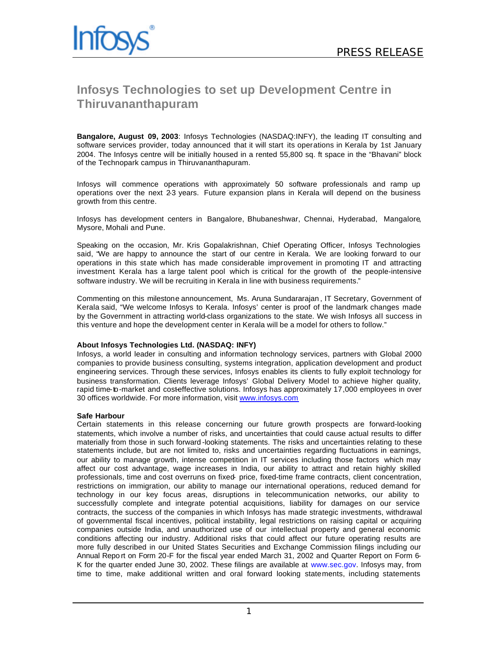## **Infosys Technologies to set up Development Centre in Thiruvananthapuram**

**Bangalore, August 09, 2003**: Infosys Technologies (NASDAQ:INFY), the leading IT consulting and software services provider, today announced that it will start its operations in Kerala by 1st January 2004. The Infosys centre will be initially housed in a rented 55,800 sq. ft space in the "Bhavani" block of the Technopark campus in Thiruvananthapuram.

Infosys will commence operations with approximately 50 software professionals and ramp up operations over the next 2-3 years. Future expansion plans in Kerala will depend on the business growth from this centre.

Infosys has development centers in Bangalore, Bhubaneshwar, Chennai, Hyderabad, Mangalore, Mysore, Mohali and Pune.

Speaking on the occasion, Mr. Kris Gopalakrishnan, Chief Operating Officer, Infosys Technologies said, "We are happy to announce the start of our centre in Kerala. We are looking forward to our operations in this state which has made considerable improvement in promoting IT and attracting investment. Kerala has a large talent pool which is critical for the growth of the people-intensive software industry. We will be recruiting in Kerala in line with business requirements."

Commenting on this milestone announcement, Ms. Aruna Sundararajan , IT Secretary, Government of Kerala said, "We welcome Infosys to Kerala. Infosys' center is proof of the landmark changes made by the Government in attracting world-class organizations to the state. We wish Infosys all success in this venture and hope the development center in Kerala will be a model for others to follow."

## **About Infosys Technologies Ltd. (NASDAQ: INFY)**

Infosys, a world leader in consulting and information technology services, partners with Global 2000 companies to provide business consulting, systems integration, application development and product engineering services. Through these services, Infosys enables its clients to fully exploit technology for business transformation. Clients leverage Infosys' Global Delivery Model to achieve higher quality, rapid time-to-market and costeffective solutions. Infosys has approximately 17,000 employees in over 30 offices worldwide. For more information, visit www.infosys.com

## **Safe Harbour**

Certain statements in this release concerning our future growth prospects are forward-looking statements, which involve a number of risks, and uncertainties that could cause actual results to differ materially from those in such forward -looking statements. The risks and uncertainties relating to these statements include, but are not limited to, risks and uncertainties regarding fluctuations in earnings, our ability to manage growth, intense competition in IT services including those factors which may affect our cost advantage, wage increases in India, our ability to attract and retain highly skilled professionals, time and cost overruns on fixed- price, fixed-time frame contracts, client concentration, restrictions on immigration, our ability to manage our international operations, reduced demand for technology in our key focus areas, disruptions in telecommunication networks, our ability to successfully complete and integrate potential acquisitions, liability for damages on our service contracts, the success of the companies in which Infosys has made strategic investments, withdrawal of governmental fiscal incentives, political instability, legal restrictions on raising capital or acquiring companies outside India, and unauthorized use of our intellectual property and general economic conditions affecting our industry. Additional risks that could affect our future operating results are more fully described in our United States Securities and Exchange Commission filings including our Annual Repo rt on Form 20-F for the fiscal year ended March 31, 2002 and Quarter Report on Form 6- K for the quarter ended June 30, 2002. These filings are available at www.sec.gov. Infosys may, from time to time, make additional written and oral forward looking statements, including statements